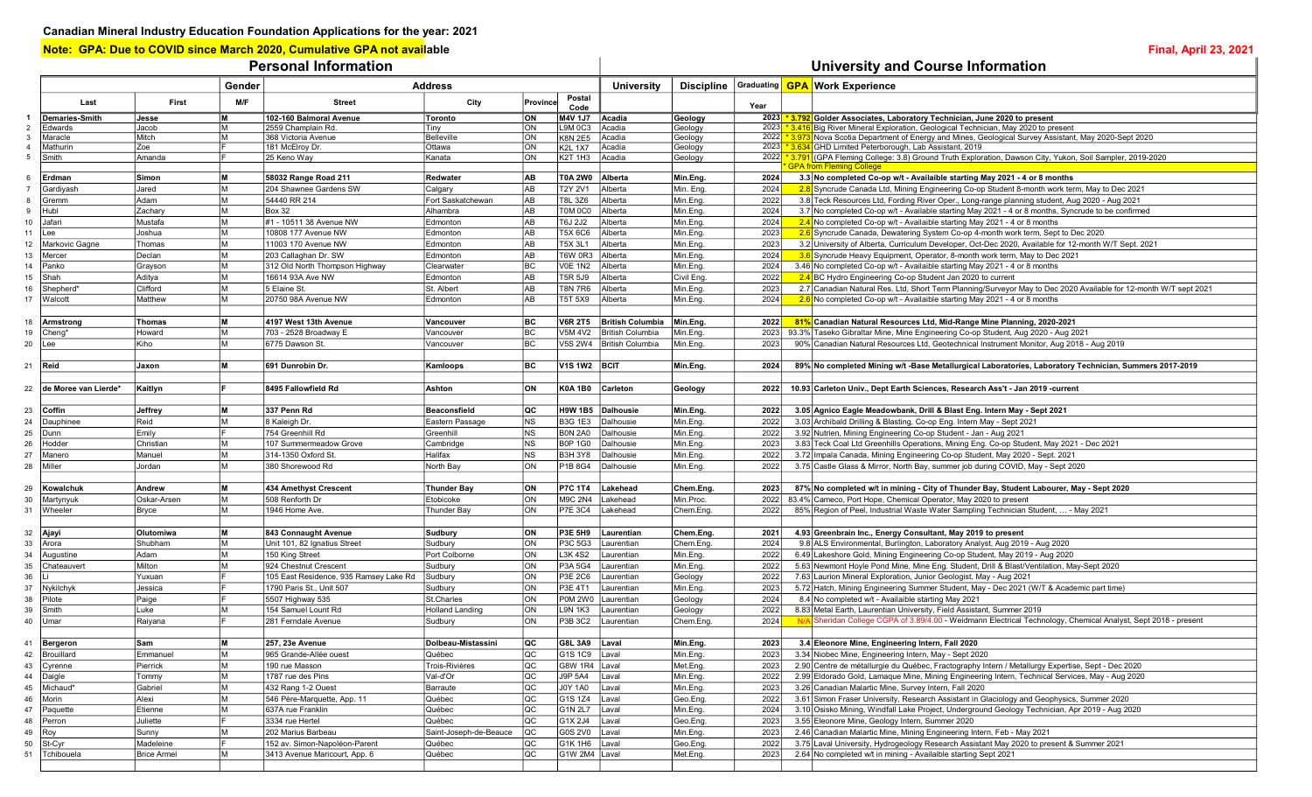Note: GPA: Due to COVID since March 2020, Cumulative GPA not available **Final, April 23, 2021** Final, April 23, 2021

## Personal Information **Personal Information** and University and Course Information

|                     | Gender                |                    |          |                                        | <b>University</b>      |                |                           | Discipline Graduating <b>GPA</b> Work Experience |                    |              |                                                                                                                                                                                         |
|---------------------|-----------------------|--------------------|----------|----------------------------------------|------------------------|----------------|---------------------------|--------------------------------------------------|--------------------|--------------|-----------------------------------------------------------------------------------------------------------------------------------------------------------------------------------------|
|                     |                       |                    |          |                                        | <b>Address</b>         |                | Postal                    |                                                  |                    |              |                                                                                                                                                                                         |
|                     | Last                  | First              | M/F      | <b>Street</b>                          | City                   | Province       | Code                      |                                                  |                    | Year         |                                                                                                                                                                                         |
| $\mathbf{1}$        | <b>Demaries-Smith</b> | Jesse              | M        | 102-160 Balmoral Avenue                | Toronto                | ON             | M4V 1J7 Acadia            |                                                  | Geology            |              | 2023 *3.792 Golder Associates, Laboratory Technician, June 2020 to present                                                                                                              |
| $\overline{2}$      | Edwards               | Jacob              | lм       | 2559 Champlain Rd.                     | Tiny                   | ON             | L9M 0C3                   | Acadia                                           | Geology            |              | 2023 *3.416 Big River Mineral Exploration, Geological Technician, May 2020 to present                                                                                                   |
| 3<br>$\overline{4}$ | Maracle               | Mitch<br>Zoe       | <b>M</b> | 368 Victoria Avenue                    | Belleville<br>Ottawa   | ON<br>ON       | <b>K8N 2E5</b>            | Acadia                                           | Geology            |              | 2022 *3.973 Nova Scotia Department of Energy and Mines, Geological Survey Assistant, May 2020-Sept 2020<br>2023 * 3.634 GHD Limited Peterborough, Lab Assistant, 2019                   |
| 5                   | Mathurin<br>Smith     | Amanda             |          | 181 McElroy Dr.<br>25 Keno Way         | Kanata                 | ON             | <b>K2L 1X7</b><br>K2T 1H3 | Acadia<br>Acadia                                 | Geology<br>Geology |              | 2022 *3.791 (GPA Fleming College: 3.8) Ground Truth Exploration, Dawson City, Yukon, Soil Sampler, 2019-2020                                                                            |
|                     |                       |                    |          |                                        |                        |                |                           |                                                  |                    |              | <b>GPA from Fleming College</b>                                                                                                                                                         |
| 6                   | Erdman                | Simon              | M        | 58032 Range Road 211                   | Redwater               | AB             | T0A 2W0 Alberta           |                                                  | Min.Eng.           | 2024         | 3.3 No completed Co-op w/t - Availaible starting May 2021 - 4 or 8 months                                                                                                               |
|                     | Gardiyash             | Jared              | lм       | 204 Shawnee Gardens SW                 | Calgary                | AB             | <b>T2Y 2V1</b>            | Alberta                                          | Min. Eng.          | 2024         | 2.8 Syncrude Canada Ltd, Mining Engineering Co-op Student 8-month work term, May to Dec 2021                                                                                            |
| 8                   | Gremm                 | Adam               | lм       | 54440 RR 214                           | Fort Saskatchewan      | AB             | <b>T8L 3Z6</b>            | Alberta                                          | Min.Eng.           | 2022         | 3.8 Teck Resources Ltd, Fording River Oper., Long-range planning student, Aug 2020 - Aug 2021                                                                                           |
| 9                   | Hubl                  | Zachary            | lм       | <b>Box 32</b>                          | Alhambra               | AB             | T0M 0C0                   | Alberta                                          | Min.Eng.           | 2024         | 3.7 No completed Co-op w/t - Available starting May 2021 - 4 or 8 months, Syncrude to be confirmed                                                                                      |
| 10                  | Jafari                | Mustafa            | lм       | #1 - 10511 38 Avenue NW                | Edmonton               | AB             | T6J 2J2                   | Alberta                                          | Min.Eng.           | 2024         | 2.4 No completed Co-op w/t - Availaible starting May 2021 - 4 or 8 months                                                                                                               |
| 11                  | Lee                   | Joshua             | lм       | 10808 177 Avenue NW                    | Edmonton               | AB             | <b>T5X 6C6</b>            | Alberta                                          | Min.Eng.           | 2023         | 2.6 Syncrude Canada, Dewatering System Co-op 4-month work term, Sept to Dec 2020                                                                                                        |
| 12                  | Markovic Gagne        | Thomas             | lм       | 11003 170 Avenue NW                    | Edmonton               | AB             | T5X 3L1                   | Alberta                                          | Min.Eng.           | 2023         | 3.2 University of Alberta, Curriculum Developer, Oct-Dec 2020, Available for 12-month W/T Sept. 2021                                                                                    |
| 13                  | Mercer                | Declan             | lм       | 203 Callaghan Dr. SW                   | Edmonton               | AB             | <b>T6W 0R3</b>            | Alberta                                          | Min.Eng.           | 2024         | 3.6 Syncrude Heavy Equipment, Operator, 8-month work term, May to Dec 2021                                                                                                              |
| 14                  | Panko                 | Grayson            | lм       | 312 Old North Thompson Highway         | Clearwater             | BC             | <b>V0E 1N2</b>            | Alberta                                          | Min.Eng.           | 2024         | 3.46 No completed Co-op w/t - Availaible starting May 2021 - 4 or 8 months                                                                                                              |
| 15                  | Shah                  | Aditya             | lм       | 16614 93A Ave NW                       | Edmonton               | AB             | T5R 5J9                   | Alberta                                          | Civil Eng.         | 2022         | 2.4 BC Hydro Engineering Co-op Student Jan 2020 to current                                                                                                                              |
| 16                  | Shepherd*             | Clifford           | lм       | 5 Elaine St.                           | St. Albert             | AB             | <b>T8N 7R6</b>            | Alberta                                          | Min.Eng.           | 2023         | 2.7 Canadian Natural Res. Ltd, Short Term Planning/Surveyor May to Dec 2020 Available for 12-month W/T sept 2021                                                                        |
| 17                  | Walcott               | Matthew            | lм       | 20750 98A Avenue NW                    | Edmonton               | AB             | T5T 5X9                   | Alberta                                          | Min.Eng.           | 2024         | $2.6$ No completed Co-op w/t - Availaible starting May 2021 - 4 or 8 months                                                                                                             |
|                     |                       |                    |          |                                        |                        |                |                           |                                                  |                    |              |                                                                                                                                                                                         |
| 18                  | Armstrong             | Thomas             | lм       | 4197 West 13th Avenue                  | Vancouver              | BC             | <b>V6R 2T5</b>            | <b>British Columbia</b>                          | Min.Eng.           | 2022         | 81% Canadian Natural Resources Ltd, Mid-Range Mine Planning, 2020-2021                                                                                                                  |
| 19                  | Cheng*                | Howard             | lм       | 703 - 2528 Broadway E                  | Vancouver              | BC             | <b>V5M 4V2</b>            | British Columbia                                 | Min.Eng.           | 2023         | 93.3% Taseko Gibraltar Mine, Mine Engineering Co-op Student, Aug 2020 - Aug 2021                                                                                                        |
| 20                  | Lee                   | Kiho               | lм       | 6775 Dawson St.                        | Vancouver              | BC             |                           | V5S 2W4   British Columbia                       | Min.Eng.           | 2023         | 90% Canadian Natural Resources Ltd, Geotechnical Instrument Monitor, Aug 2018 - Aug 2019                                                                                                |
|                     |                       |                    |          |                                        |                        |                |                           |                                                  |                    |              |                                                                                                                                                                                         |
| 21                  | Reid                  | <b>Jaxon</b>       | lм       | 691 Dunrobin Dr.                       | Kamloops               | BC             | V1S 1W2 BCIT              |                                                  | Min.Eng.           | 2024         | 89% No completed Mining w/t -Base Metallurgical Laboratories, Laboratory Technician, Summers 2017-2019                                                                                  |
|                     |                       |                    |          | 8495 Fallowfield Rd                    | Ashton                 | ON             | <b>K0A 1B0</b>            |                                                  |                    |              |                                                                                                                                                                                         |
| 22                  | de Moree van Lierde*  | Kaitlyn            |          |                                        |                        |                |                           | Carleton                                         | Geology            | 2022         | 10.93 Carleton Univ., Dept Earth Sciences, Research Ass't - Jan 2019 -current                                                                                                           |
| 23                  | Coffin                | Jeffrey            | lм       | 337 Penn Rd                            | <b>Beaconsfield</b>    | lQC.           | H9W 1B5 Dalhousie         |                                                  | Min.Eng.           | 2022         | 3.05 Agnico Eagle Meadowbank, Drill & Blast Eng. Intern May - Sept 2021                                                                                                                 |
| 24                  | Dauphinee             | Reid               | lм       | 8 Kaleigh Dr.                          | Eastern Passage        | N <sub>S</sub> | <b>B3G 1E3</b>            | Dalhousie                                        | Min.Eng.           | 2022         | 3.03 Archibald Drilling & Blasting, Co-op Eng. Intern May - Sept 2021                                                                                                                   |
| 25                  | Dunn                  | Emily              |          | 754 Greenhill Rd                       | Greenhill              | <b>NS</b>      | <b>BON 2A0</b>            | Dalhousie                                        | Min.Eng.           | 2022         | 3.92 Nutrien, Mining Engineering Co-op Student - Jan - Aug 2021                                                                                                                         |
| 26                  | Hodder                | Christian          | M        | 107 Summermeadow Grove                 | Cambridge              | <b>NS</b>      | <b>B0P 1G0</b>            | Dalhousie                                        | Min.Eng.           | 2023         | 3.83 Teck Coal Ltd Greenhills Operations, Mining Eng. Co-op Student, May 2021 - Dec 2021                                                                                                |
| 27                  | Manero                | Manuel             | lм       | 314-1350 Oxford St.                    | Halifax                | <b>NS</b>      | <b>B3H 3Y8</b>            | Dalhousie                                        | Min.Eng.           | 2022         | 3.72 Impala Canada, Mining Engineering Co-op Student, May 2020 - Sept. 2021                                                                                                             |
| 28                  | Miller                | Jordan             | lм       | 380 Shorewood Rd                       | North Bay              | ON             | P1B 8G4                   | Dalhousie                                        | Min.Eng.           | 2022         | 3.75 Castle Glass & Mirror, North Bay, summer job during COVID, May - Sept 2020                                                                                                         |
|                     |                       |                    |          |                                        |                        |                |                           |                                                  |                    |              |                                                                                                                                                                                         |
| 29                  | Kowalchuk             | Andrew             | l M      | 434 Amethyst Crescent                  | Thunder Bay            | ON             | <b>P7C 1T4</b>            | Lakehead                                         | Chem.Eng.          | 2023         | 87% No completed w/t in mining - City of Thunder Bay, Student Labourer, May - Sept 2020                                                                                                 |
| 30                  | Martynyuk             | Oskar-Arsen        | lм       | 508 Renforth Dr                        | Etobicoke              | ON             | <b>M9C 2N4</b>            | Lakehead                                         | Min.Proc.          | 2022         | 83.4% Cameco, Port Hope, Chemical Operator, May 2020 to present                                                                                                                         |
| 31                  | Wheeler               | Bryce              | lм       | 1946 Home Ave.                         | <b>Thunder Bay</b>     | ON             | <b>P7E 3C4</b>            | Lakehead                                         | Chem.Eng.          | 2022         | 85% Region of Peel, Industrial Waste Water Sampling Technician Student,  - May 2021                                                                                                     |
|                     |                       |                    |          |                                        |                        |                |                           |                                                  |                    |              |                                                                                                                                                                                         |
| 32                  | Ajayi                 | <b>Olutomiwa</b>   | lм       | 843 Connaught Avenue                   | Sudbury                | ON             | P3E 5H9                   | Laurentian                                       | Chem.Eng.          | 2021         | 4.93 Greenbrain Inc., Energy Consultant, May 2019 to present                                                                                                                            |
| 33                  | Arora                 | Shubham            | lм       | Unit 101, 82 Ignatius Street           | Sudbury                | <b>ON</b>      | P3C 5G3                   | Laurentian                                       | Chem.Eng.          | 2024         | 9.8 ALS Environmental, Burlington, Laboratory Analyst, Aug 2019 - Aug 2020                                                                                                              |
| 34                  | Augustine             | Adam               | lм       | 150 King Street                        | Port Colborne          | ON             | L3K 4S2                   | Laurentian                                       | Min.Eng.           | 2022         | 6.49 Lakeshore Gold, Mining Engineering Co-op Student, May 2019 - Aug 2020                                                                                                              |
| 35                  | Chateauvert           | Milton             | lм       | 924 Chestnut Crescent                  | Sudbury                | ON             | P3A 5G4                   | Laurentian                                       | Min.Eng.           | 2022         | 5.63 Newmont Hoyle Pond Mine, Mine Eng. Student, Drill & Blast/Ventilation, May-Sept 2020                                                                                               |
| 36                  |                       | Yuxuan             |          | 105 East Residence, 935 Ramsey Lake Rd | Sudbury                | ON             | P3E 2C6                   | Laurentian                                       | Geology            | 2022         | 7.63 Laurion Mineral Exploration, Junior Geologist, May - Aug 2021                                                                                                                      |
| 37                  | Nykilchyk             | Jessica            |          | 1790 Paris St., Unit 507               | Sudbury                | ON             | P3E 4T1                   | Laurentian                                       | Min.Eng.           | 2023         | 5.72 Hatch, Mining Engineering Summer Student, May - Dec 2021 (W/T & Academic part time)                                                                                                |
| 38                  | Pilote                | Paige              |          | 5507 Highway 535                       | St.Charles             | ON             | <b>P0M 2W0</b>            | Laurentian                                       | Geology            | 2024         | 8.4 No completed w/t - Availaible starting May 2021                                                                                                                                     |
| 39                  | Smith                 | Luke               | lм       | 154 Samuel Lount Rd                    | <b>Holland Landing</b> | ON             | <b>L9N 1K3</b>            | Laurentian                                       | Geology            | 2022<br>2024 | 8.83 Metal Earth, Laurentian University, Field Assistant, Summer 2019<br>N/A Sheridan College CGPA of 3.89/4.00 - Weidmann Electrical Technology, Chemical Analyst, Sept 2018 - present |
| 40                  | Umar                  | Raivana            |          | 281 Ferndale Avenue                    | Sudbury                | ON             | P3B 3C2                   | Laurentian                                       | Chem.Eng.          |              |                                                                                                                                                                                         |
| 41                  | Bergeron              | Sam                | M        | 257, 23e Avenue                        | Dolbeau-Mistassini     | lQC.           | G8L 3A9 Laval             |                                                  | Min.Eng.           | 2023         | 3.4 Eleonore Mine, Engineering Intern, Fall 2020                                                                                                                                        |
|                     | 42 Brouillard         | Emmanuel           | lм       | 965 Grande-Allée ouest                 | Québec                 | loc            | G1S 1C9 Laval             |                                                  | Min.Eng.           | 2023         | 3.34 Niobec Mine, Engineering Intern, May - Sept 2020                                                                                                                                   |
| 43                  | Cyrenne               | Pierrick           | lм       | 190 rue Masson                         | Trois-Rivières         | QC             | G8W 1R4 Laval             |                                                  | Met.Eng.           | 2023         | 2.90 Centre de métallurgie du Québec, Fractography Intern / Metallurgy Expertise, Sept - Dec 2020                                                                                       |
| 44                  | Daigle                | Tommy              | lм       | 1787 rue des Pins                      | Val-d'Or               | QC             | J9P 5A4                   | Laval                                            | Min.Eng.           | 2022         | 2.99 Eldorado Gold, Lamaque Mine, Mining Engineering Intern, Technical Services, May - Aug 2020                                                                                         |
| 45                  | Michaud*              | Gabriel            | lм       | 432 Rang 1-2 Ouest                     | Barraute               | <b>QC</b>      | J0Y 1A0                   | Laval                                            | Min.Eng.           | 2023         | 3.26 Canadian Malartic Mine, Survey Intern, Fall 2020                                                                                                                                   |
| 46                  | Morin                 | Alexi              | lм       | 546 Père-Marquette, App. 11            | Québec                 | QC             | G1S 1Z4                   | Laval                                            | Geo.Eng.           | 2022         | 3.61 Simon Fraser University, Research Assistant in Glaciology and Geophysics, Summer 2020                                                                                              |
| 47                  | Paquette              | Etienne            | lм       | 637A rue Franklin                      | Québec                 | QC             | G1N 2L7                   | Laval                                            | Min.Eng.           | 2024         | 3.10 Osisko Mining, Windfall Lake Project, Underground Geology Technician, Apr 2019 - Aug 2020                                                                                          |
| 48                  | Perron                | Juliette           |          | 3334 rue Hertel                        | Québec                 | <b>QC</b>      | G1X 2J4                   | Laval                                            | Geo.Eng.           | 2023         | 3.55 Eleonore Mine, Geology Intern, Summer 2020                                                                                                                                         |
| 49                  | Roy                   | Sunny              |          | 202 Marius Barbeau                     | Saint-Joseph-de-Beauce | QC             | G0S 2V0                   | Laval                                            | Min.Eng.           | 2023         | 2.46 Canadian Malartic Mine, Mining Engineering Intern, Feb - May 2021                                                                                                                  |
| 50                  | St-Cyr                | Madeleine          |          | 152 av. Simon-Napoléon-Parent          | Québec                 | QC             | G1K 1H6 Laval             |                                                  | Geo.Eng.           | 2022         | 3.75 Laval University, Hydrogeology Research Assistant May 2020 to present & Summer 2021                                                                                                |
| 51                  | Tchibouela            | <b>Brice Armel</b> | IM.      | 3413 Avenue Maricourt, App. 6          | Québec                 | loc            | G1W 2M4 Laval             |                                                  | Met.Eng.           | 2023         | 2.64 No completed w/t in mining - Availaible starting Sept 2021                                                                                                                         |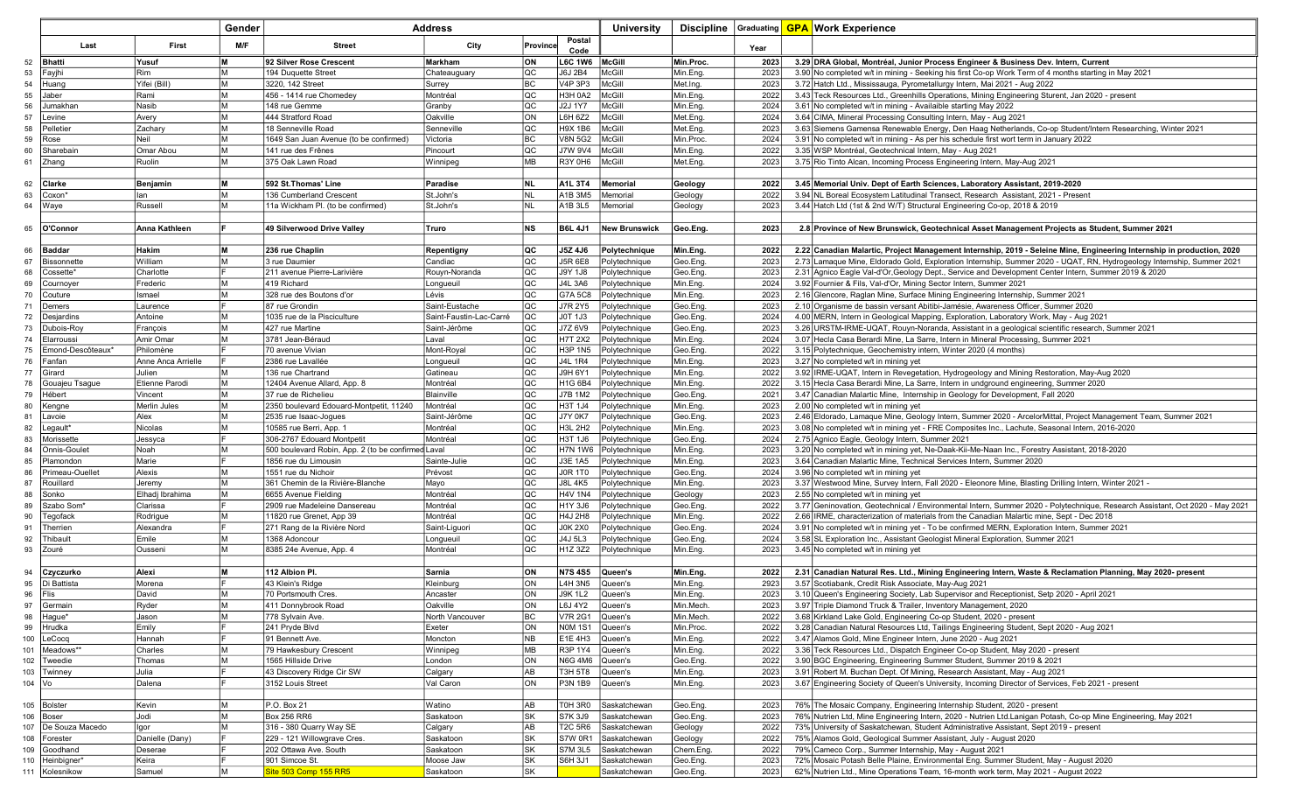|          |                          |                       | Gender   |                                                         | Address                                 |                  |                           | <b>University</b>              | Discipline   Graduating |              | <b>GPA Work Experience</b>                                                                                                                                                               |
|----------|--------------------------|-----------------------|----------|---------------------------------------------------------|-----------------------------------------|------------------|---------------------------|--------------------------------|-------------------------|--------------|------------------------------------------------------------------------------------------------------------------------------------------------------------------------------------------|
|          |                          |                       |          |                                                         |                                         |                  | Postal                    |                                |                         |              |                                                                                                                                                                                          |
|          | Last                     | First                 | M/F      | <b>Street</b>                                           | City                                    | Province         | Code                      |                                |                         | Year         |                                                                                                                                                                                          |
| 52       | <b>Bhatti</b>            | Yusuf                 | lм       | 92 Silver Rose Crescent                                 | <b>Markham</b>                          | lon.             | <b>L6C 1W6</b>            | McGill                         | Min.Proc.               | 2023         | 3.29 DRA Global, Montréal, Junior Process Engineer & Business Dev. Intern, Current                                                                                                       |
| 53       | Fayjhi                   | <b>Rim</b>            | lм       | 194 Duguette Street                                     | Chateauguary                            | <b>QC</b>        | J6J 2B4                   | McGill                         | Min.Eng.                | 2023         | 3.90 No completed w/t in mining - Seeking his first Co-op Work Term of 4 months starting in May 2021                                                                                     |
| 54       | Huang                    | Yifei (Bill)          | lм       | 3220, 142 Street                                        | Surrey                                  | BC               | V4P 3P3                   | McGill                         | Met.Ing.                | 2023         | 3.72 Hatch Ltd., Mississauga, Pyrometallurgy Intern, Mai 2021 - Aug 2022                                                                                                                 |
| 55       | Jaber                    | Rami                  | lм       | 456 - 1414 rue Chomedev                                 | Montréal                                | QC               | H3H 0A2                   | McGill                         | Min.Eng.                | 2022         | 3.43 Teck Resources Ltd., Greenhills Operations, Mining Engineering Sturent, Jan 2020 - present                                                                                          |
| 56       | Jumakhar                 | Nasib                 | lм<br>lм | 148 rue Gemme                                           | Granby                                  | loc              | <b>J2J 1Y7</b>            | McGill                         | Min.Eng.                | 2024         | 3.61 No completed w/t in mining - Availaible starting May 2022                                                                                                                           |
| 57       | Levine<br>Pelletie       | Avery<br>Zachary      | lм       | 444 Stratford Road<br>18 Senneville Road                | Oakville<br>Senneville                  | <b>ON</b><br>loc | L6H 6Z2<br>H9X 1B6        | McGill<br>McGill               | Met.Eng.<br>Met.Eng.    | 2024<br>2023 | 3.64 CIMA, Mineral Processing Consulting Intern, May - Aug 2021<br>3.63 Siemens Gamensa Renewable Energy, Den Haag Netherlands, Co-op Student/Intern Researching, Winter 2021            |
| 58<br>59 | Rose                     | Neil                  | lм       | 1649 San Juan Avenue (to be confirmed)                  | Victoria                                | <b>BC</b>        | <b>V8N 5G2</b>            | McGill                         | Min.Proc.               | 2024         | 3.91 No completed w/t in mining - As per his schedule first wort term in January 2022                                                                                                    |
| 60       | Sharebain                | Omar Abou             | lм       | 141 rue des Frênes                                      | Pincourt                                | loc              | <b>J7W 9V4</b>            | McGill                         | Min.Eng.                | 2022         | 3.35 WSP Montréal, Geotechnical Intern, May - Aug 2021                                                                                                                                   |
| 61       | Zhang                    | Ruolin                | lм       | 375 Oak Lawn Road                                       | Winnipeg                                | <b>IMB</b>       | R3Y 0H6                   | McGill                         | Met.Eng.                | 2023         | 3.75 Rio Tinto Alcan, Incoming Process Engineering Intern, May-Aug 2021                                                                                                                  |
|          |                          |                       |          |                                                         |                                         |                  |                           |                                |                         |              |                                                                                                                                                                                          |
| 62       | <b>Clarke</b>            | Benjamin              | lм       | 592 St.Thomas' Line                                     | Paradise                                | INL              | <b>A1L 3T4</b>            | Memorial                       | Geology                 | 2022         | 3.45 Memorial Univ. Dept of Earth Sciences. Laboratory Assistant. 2019-2020                                                                                                              |
| 63       | Coxon                    | lan                   | lм       | 136 Cumberland Crescent                                 | St.John's                               | NL               | A1B 3M5                   | Memorial                       | Geology                 | 2022         | 3.94 NL Boreal Ecosystem Latitudinal Transect, Research Assistant, 2021 - Present                                                                                                        |
| 64       | Waye                     | Russell               | lм       | 11a Wickham Pl. (to be confirmed)                       | St.John's                               | NL               | A1B 3L5                   | Memorial                       | Geology                 | 2023         | 3.44 Hatch Ltd (1st & 2nd W/T) Structural Engineering Co-op, 2018 & 2019                                                                                                                 |
|          |                          |                       |          |                                                         |                                         |                  |                           |                                |                         |              |                                                                                                                                                                                          |
| 65       | O'Connor                 | Anna Kathleen         |          | 49 Silverwood Drive Valley                              | Truro                                   | <b>NS</b>        | <b>B6L 4J1</b>            | <b>New Brunswick</b>           | Geo.Eng.                | 2023         | 2.8 Province of New Brunswick, Geotechnical Asset Management Projects as Student, Summer 2021                                                                                            |
|          |                          |                       |          |                                                         |                                         |                  |                           |                                |                         |              |                                                                                                                                                                                          |
| 66       | <b>Baddar</b>            | <b>Hakim</b>          | lм       | 236 rue Chaplin                                         | Repentigny                              | <b>QC</b>        | J5Z 4J6                   | Polytechnique                  | Min.Eng.                | 2022         | 2.22 Canadian Malartic, Project Management Internship, 2019 - Seleine Mine, Engineering Internship in production, 2020                                                                   |
| 67       | Bissonnette              | William               | lм       | 3 rue Daumier                                           | Candiac                                 | loc              | J5R 6E8                   | Polytechnique                  | Geo.Eng.                | 2023         | 2.73 Lamaque Mine, Eldorado Gold, Exploration Internship, Summer 2020 - UQAT, RN, Hydrogeology Internship, Summer 2021                                                                   |
| 68       | Cossette                 | Charlotte             |          | 211 avenue Pierre-Larivière                             | Rouyn-Noranda                           | <b>QC</b>        | <b>J9Y 1J8</b>            | Polytechnique                  | Geo.Eng.                | 2023         | 2.31 Agnico Eagle Val-d'Or, Geology Dept., Service and Development Center Intern, Summer 2019 & 2020                                                                                     |
| 69       | Cournoyer                | Frederic              | lм       | 419 Richard                                             | Longueuil                               | <b>QC</b>        | <b>J4L 3A6</b>            | Polytechnique                  | Min.Eng.                | 2024         | 3.92 Fournier & Fils, Val-d'Or, Mining Sector Intern, Summer 2021                                                                                                                        |
| 70       | Couture                  | Ismael                | M        | 328 rue des Boutons d'or                                | Lévis                                   | lQC              | G7A 5C8                   | Polytechnique                  | Min.Eng.                | 2023         | 2.16 Glencore, Raglan Mine, Surface Mining Engineering Internship, Summer 2021                                                                                                           |
| 71       | Demers                   | Laurence<br>Antoine   | lм       | 87 rue Grondin                                          | Saint-Eustache                          | lQC<br>lQC       | <b>J7R 2Y5</b><br>J0T 1J3 | Polytechnique                  | Geo.Eng.                | 2023<br>2024 | 2.10 Organisme de bassin versant Abitibi-Jamésie, Awareness Officer, Summer 2020                                                                                                         |
| 72       | Desjardins               |                       | lм       | 1035 rue de la Pisciculture<br>427 rue Martine          | Saint-Faustin-Lac-Carré<br>Saint-Jérôme | lQC              | J7Z 6V9                   | Polytechnique<br>Polytechnique | Geo.Eng.<br>Geo.Eng.    | 2023         | 4.00 MERN, Intern in Geological Mapping, Exploration, Laboratory Work, May - Aug 2021<br>3.26 URSTM-IRME-UQAT, Rouyn-Noranda, Assistant in a geological scientific research, Summer 2021 |
| 73<br>74 | Dubois-Roy<br>Elarroussi | François<br>Amir Omar | lм       | 3781 Jean-Béraud                                        | Laval                                   | loc              | <b>H7T 2X2</b>            | Polytechnique                  | Min.Eng.                | 2024         | 3.07 Hecla Casa Berardi Mine, La Sarre, Intern in Mineral Processing, Summer 2021                                                                                                        |
| 75       | Emond-Descôteaux*        | Philomène             |          | 70 avenue Vivian                                        | Mont-Royal                              | <b>QC</b>        | <b>H3P 1N5</b>            | Polytechnique                  | Geo.Eng.                | 2022         | 3.15 Polytechnique, Geochemistry intern, Winter 2020 (4 months)                                                                                                                          |
| 76       | Fanfan                   | Anne Anca Arrielle    |          | 2386 rue Lavallée                                       | Longueuil                               | <b>QC</b>        | <b>J4L 1R4</b>            | Polytechnique                  | Min.Eng.                | 2023         | 3.27 No completed w/t in mining yet                                                                                                                                                      |
| 77       | Girard                   | Julien                | lм       | 136 rue Chartrand                                       | Gatineau                                | loc              | J9H 6Y1                   | Polytechnique                  | Min.Eng.                | 2022         | 3.92 IRME-UQAT, Intern in Revegetation, Hydrogeology and Mining Restoration, May-Aug 2020                                                                                                |
| 78       | Gouajeu Tsague           | Etienne Parodi        | lм       | 12404 Avenue Allard, App. 8                             | Montréal                                | QC               | H1G 6B4                   | Polytechnique                  | Min.Eng.                | 2022         | 3.15 Hecla Casa Berardi Mine, La Sarre, Intern in undground engineering, Summer 2020                                                                                                     |
| 79       | Hébert                   | Vincent               | lм       | 37 rue de Richelieu                                     | Blainville                              | loc              | J7B 1M2                   | Polytechnique                  | Geo.Eng.                | 2021         | 3.47 Canadian Malartic Mine, Internship in Geology for Development, Fall 2020                                                                                                            |
| 80       | Kengne                   | Merlin Jules          | lм       | 2350 boulevard Edouard-Montpetit, 11240                 | Montréal                                | lQC              | H3T 1J4                   | Polytechnique                  | Min.Eng.                | 2023         | 2.00 No completed w/t in mining yet                                                                                                                                                      |
| 81       | Lavoie                   | Alex                  | lм       | 2535 rue Isaac-Joques                                   | Saint-Jérôme                            | <b>QC</b>        | <b>J7Y 0K7</b>            | Polytechnique                  | Geo.Eng.                | 2023         | 2.46 Eldorado, Lamaque Mine, Geology Intern, Summer 2020 - ArcelorMittal, Project Management Team, Summer 2021                                                                           |
| 82       | Legault*                 | Nicolas               | lм       | 10585 rue Berri, App. 1                                 | Montréal                                | loc              | <b>H3L 2H2</b>            | Polytechnique                  | Min.Eng.                | 2023         | 3.08 No completed w/t in mining yet - FRE Composites Inc., Lachute, Seasonal Intern, 2016-2020                                                                                           |
| 83       | Morissette               | Jessyca               |          | 306-2767 Edouard Montpetit                              | Montréal                                | QC               | H3T 1J6                   | Polytechnique                  | Geo.Eng.                | 2024         | 2.75 Agnico Eagle, Geology Intern, Summer 2021                                                                                                                                           |
| 84       | Onnis-Goule              | Noah                  | lм       | 500 boulevard Robin, App. 2 (to be confirmed Laval      |                                         | QC               | H7N 1W6                   | Polytechnique                  | Min.Eng.                | 2023         | 3.20 No completed w/t in mining yet, Ne-Daak-Kii-Me-Naan Inc., Forestry Assistant, 2018-2020                                                                                             |
| 85       | Plamondon                | Marie                 |          | 1856 rue du Limousin                                    | Sainte-Julie                            | loc              | J3E 1A5                   | Polytechnique                  | Min.Eng.                | 2023         | 3.64 Canadian Malartic Mine, Technical Services Intern, Summer 2020                                                                                                                      |
| 86       | Primeau-Ouellet          | Alexis                | lм       | 1551 rue du Nichoir                                     | Prévost                                 | <b>QC</b>        | <b>JOR 1TO</b>            | Polytechnique                  | Geo.Eng.                | 2024         | 3.96 No completed w/t in mining yet                                                                                                                                                      |
| 87       | Rouillard                | Jeremy                | lм       | 361 Chemin de la Rivière-Blanche                        | Mayo                                    | <b>QC</b>        | <b>J8L 4K5</b>            | Polytechnique                  | Min.Eng.                | 2023         | 3.37 Westwood Mine, Survey Intern, Fall 2020 - Eleonore Mine, Blasting Drilling Intern, Winter 2021 -                                                                                    |
| 88       | Sonko                    | Elhadj Ibrahima       | lм       | 6655 Avenue Fielding                                    | Montréal                                | loc              | <b>H4V 1N4</b>            | Polytechnique                  | Geology                 | 2023         | 2.55 No completed w/t in mining yet                                                                                                                                                      |
| 89       | Szabo Som <sup>®</sup>   | Clarissa              | lм       | 2909 rue Madeleine Dansereau                            | Montréal<br>Montréal                    | loc<br> QC       | H1Y 3J6<br>H4J 2H8        | Polytechnique                  | Geo.Eng.                | 2022<br>2022 | 3.77 Geninovation, Geotechnical / Environmental Intern, Summer 2020 - Polytechnique, Research Assistant, Oct 2020 - May 2021                                                             |
| 90<br>91 | Tegofack<br>Therrien     | Rodrigue<br>Alexandra |          | 11820 rue Grenet, App 39<br>271 Rang de la Rivière Nord | Saint-Liguori                           | lQC              | <b>JOK 2X0</b>            | Polytechnique<br>Polytechnique | Min.Eng.<br>Geo.Eng.    | 2024         | 2.66 IRME, characterization of materials from the Canadian Malartic mine, Sept - Dec 2018<br>3.91 No completed w/t in mining yet - To be confirmed MERN, Exploration Intern, Summer 2021 |
| 92       | Thibault                 | Emile                 | lм       | 1368 Adoncour                                           | Longueuil                               | loc              | J4J 5L3                   | Polytechnique                  | Geo.Eng.                | 2024         | 3.58 SL Exploration Inc., Assistant Geologist Mineral Exploration, Summer 2021                                                                                                           |
| 93       | Zouré                    | Ousseni               | lм       | 8385 24e Avenue, App. 4                                 | Montréal                                | loc              | 11Z 3Z2                   | Polytechnique                  | Min.Eng.                | 2023         | 3.45 No completed w/t in mining yet                                                                                                                                                      |
|          |                          |                       |          |                                                         |                                         |                  |                           |                                |                         |              |                                                                                                                                                                                          |
| 94       | Czyczurko                | Alexi                 | lм       | 112 Albion Pl.                                          | Sarnia                                  | lon.             | <b>N7S4S5</b>             | Queen's                        | Min.Eng.                | 2022         | 2.31 Canadian Natural Res. Ltd., Mining Engineering Intern, Waste & Reclamation Planning, May 2020- present                                                                              |
| 95       | Di Battista              | Morena                |          | 43 Klein's Ridge                                        | Kleinburg                               | ION.             | L4H 3N5                   | Queen's                        | Min.Eng.                | 2923         | 3.57 Scotiabank, Credit Risk Associate, May-Aug 2021                                                                                                                                     |
| 96       | Flis                     | David                 | lм       | 70 Portsmouth Cres.                                     | Ancaster                                | lon              | <b>J9K 1L2</b>            | Queen's                        | Min.Eng.                | 2023         | 3.10 Queen's Engineering Society, Lab Supervisor and Receptionist, Setp 2020 - April 2021                                                                                                |
| 97       | Germain                  | Ryder                 | lм       | 411 Donnybrook Road                                     | Oakville                                | <b>ON</b>        | L6J 4Y2                   | Queen's                        | Min.Mech.               | 2023         | 3.97 Triple Diamond Truck & Trailer, Inventory Management, 2020                                                                                                                          |
| 98       | Hague*                   | Jason                 | lм       | 778 Sylvain Ave.                                        | North Vancouver                         | <b>BC</b>        | V7R 2G1                   | Queen's                        | Min.Mech.               | 2022         | 3.68 Kirkland Lake Gold, Engineering Co-op Student, 2020 - present                                                                                                                       |
|          | 99 Hrudka                | Emily                 |          | 241 Pryde Blvd                                          | Exeter                                  | ON               | <b>NOM 1S1</b>            | Queen's                        | Min.Proc.               | 2022         | 3.28 Canadian Natural Resources Ltd, Tailings Engineering Student, Sept 2020 - Aug 2021                                                                                                  |
|          | 100 LeCocq               | Hannah                |          | 91 Bennett Ave.                                         | Moncton                                 | N <sub>B</sub>   | E1E 4H3                   | Queen's                        | Min.Eng.                | 2022         | 3.47 Alamos Gold, Mine Engineer Intern, June 2020 - Aug 2021                                                                                                                             |
| 101      | Meadows**                | Charles               | lм       | 79 Hawkesbury Crescent                                  | Winnipeg                                | <b>MB</b>        | R3P 1Y4                   | Queen's                        | Min.Eng.                | 2022         | 3.36 Teck Resources Ltd., Dispatch Engineer Co-op Student, May 2020 - present                                                                                                            |
| 102      | Tweedie                  | Thomas                | lм       | 1565 Hillside Drive                                     | London                                  | ON               | <b>N6G 4M6</b>            | Queen's                        | Geo.Eng.                | 2022         | 3.90 BGC Engineering, Engineering Summer Student, Summer 2019 & 2021                                                                                                                     |
| 103      | Twinney                  | Julia                 |          | 43 Discovery Ridge Cir SW                               | Calgary                                 | AB.              | T3H 5T8                   | Queen's                        | Min.Eng.                | 2023         | 3.91 Robert M. Buchan Dept. Of Mining, Research Assistant, May - Aug 2021                                                                                                                |
| 104 Vo   |                          | Dalena                |          | 3152 Louis Street                                       | Val Caron                               | ON               | P3N 1B9                   | Queen's                        | Min.Eng.                | 2023         | 3.67 Engineering Society of Queen's University, Incoming Director of Services, Feb 2021 - present                                                                                        |
|          |                          |                       |          |                                                         |                                         |                  |                           |                                |                         |              |                                                                                                                                                                                          |
|          | 105 Bolster<br>106 Boser | Kevin<br>Jodi         | lм<br>lм | P.O. Box 21<br><b>Box 256 RR6</b>                       | Watino<br>Saskatoon                     | AB<br><b>SK</b>  | T0H 3R0<br>S7K 3J9        | Saskatchewan<br>Saskatchewan   | Geo.Eng.<br>Geo.Eng.    | 2023<br>2023 | 76% The Mosaic Company, Engineering Internship Student, 2020 - present<br>76% Nutrien Ltd, Mine Engineering Intern, 2020 - Nutrien Ltd.Lanigan Potash, Co-op Mine Engineering, May 2021  |
|          | 107   De Souza Macedo    | lgor                  | lм       | 316 - 380 Quarry Way SE                                 | Calgary                                 | AB               | <b>T2C 5R6</b>            | Saskatchewan                   | Geology                 | 2022         | 73% University of Saskatchewan, Student Administrative Assistant, Sept 2019 - present                                                                                                    |
| 108      | Forester                 | Danielle (Dany)       |          | 229 - 121 Willowgrave Cres.                             | Saskatoon                               | <b>SK</b>        | S7W 0R1                   | Saskatchewan                   | Geology                 | 2022         | 75% Alamos Gold, Geological Summer Assistant, July - August 2020                                                                                                                         |
| 109      | Goodhand                 | Deserae               |          | 202 Ottawa Ave. South                                   | Saskatoon                               | <b>SK</b>        | S7M 3L5                   | Saskatchewan                   | Chem.Eng.               | 2022         | 79% Cameco Corp., Summer Internship, May - August 2021                                                                                                                                   |
| 110      | Heinbigner*              | Keira                 |          | 901 Simcoe St.                                          | Moose Jaw                               | <b>SK</b>        | <b>S6H 3J1</b>            | Saskatchewan                   | Geo.Eng.                | 2023         | 72% Mosaic Potash Belle Plaine, Environmental Eng. Summer Student, May - August 2020                                                                                                     |
|          | 111 Kolesnikow           | Samuel                | lм       | Site 503 Comp 155 RR5                                   | Saskatoon                               | <b>SK</b>        |                           | Saskatchewan                   | Geo.Eng.                | 2023         | 62% Nutrien Ltd., Mine Operations Team, 16-month work term, May 2021 - August 2022                                                                                                       |